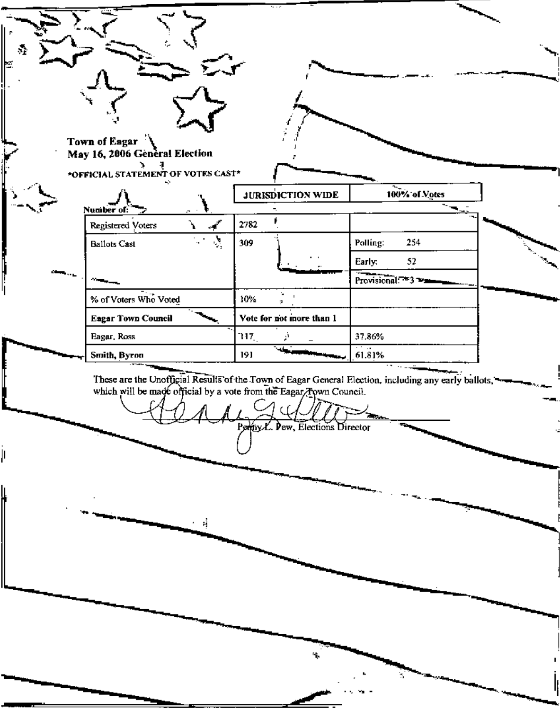| <b>Town of Eagar</b><br>May 16, 2006 General Election<br>*OFFICIAL STATEMENT OF VOTES CAST*<br>÷<br>∼–<br><b>JURISDICTION WIDE</b><br>100% of Votes<br>Number of:<br>فمحمد<br>2782<br>$\mathbf{r}$<br>Registered Voters<br>$\mathcal{S}$<br>254<br>309<br>Polling:<br><b>Ballots Cast</b><br>52<br>Early:<br>Provisional: 3 3<br>% of Voters Who Voted<br>÷.<br>10%<br>ą.<br><b>Eagar Town Council</b><br>Vote for not more than 1<br>Eagar, Ross<br>37.86%<br>117.,<br>61.81%<br>۰ı<br>191<br>Smith, Byron<br>These are the Unofficial Results of the Town of Eagar General Election, including any early ballots, which will be made official by a vote from the Eagar Town Council.<br>Permy L. Dew, Elections Director | $\mathcal{C}_1$ |  |  |
|----------------------------------------------------------------------------------------------------------------------------------------------------------------------------------------------------------------------------------------------------------------------------------------------------------------------------------------------------------------------------------------------------------------------------------------------------------------------------------------------------------------------------------------------------------------------------------------------------------------------------------------------------------------------------------------------------------------------------|-----------------|--|--|
|                                                                                                                                                                                                                                                                                                                                                                                                                                                                                                                                                                                                                                                                                                                            |                 |  |  |
|                                                                                                                                                                                                                                                                                                                                                                                                                                                                                                                                                                                                                                                                                                                            |                 |  |  |
|                                                                                                                                                                                                                                                                                                                                                                                                                                                                                                                                                                                                                                                                                                                            |                 |  |  |
|                                                                                                                                                                                                                                                                                                                                                                                                                                                                                                                                                                                                                                                                                                                            |                 |  |  |
|                                                                                                                                                                                                                                                                                                                                                                                                                                                                                                                                                                                                                                                                                                                            |                 |  |  |
|                                                                                                                                                                                                                                                                                                                                                                                                                                                                                                                                                                                                                                                                                                                            |                 |  |  |
|                                                                                                                                                                                                                                                                                                                                                                                                                                                                                                                                                                                                                                                                                                                            |                 |  |  |
|                                                                                                                                                                                                                                                                                                                                                                                                                                                                                                                                                                                                                                                                                                                            |                 |  |  |
|                                                                                                                                                                                                                                                                                                                                                                                                                                                                                                                                                                                                                                                                                                                            |                 |  |  |
|                                                                                                                                                                                                                                                                                                                                                                                                                                                                                                                                                                                                                                                                                                                            |                 |  |  |
|                                                                                                                                                                                                                                                                                                                                                                                                                                                                                                                                                                                                                                                                                                                            |                 |  |  |
|                                                                                                                                                                                                                                                                                                                                                                                                                                                                                                                                                                                                                                                                                                                            |                 |  |  |
|                                                                                                                                                                                                                                                                                                                                                                                                                                                                                                                                                                                                                                                                                                                            |                 |  |  |
|                                                                                                                                                                                                                                                                                                                                                                                                                                                                                                                                                                                                                                                                                                                            |                 |  |  |
|                                                                                                                                                                                                                                                                                                                                                                                                                                                                                                                                                                                                                                                                                                                            |                 |  |  |

ŕ,